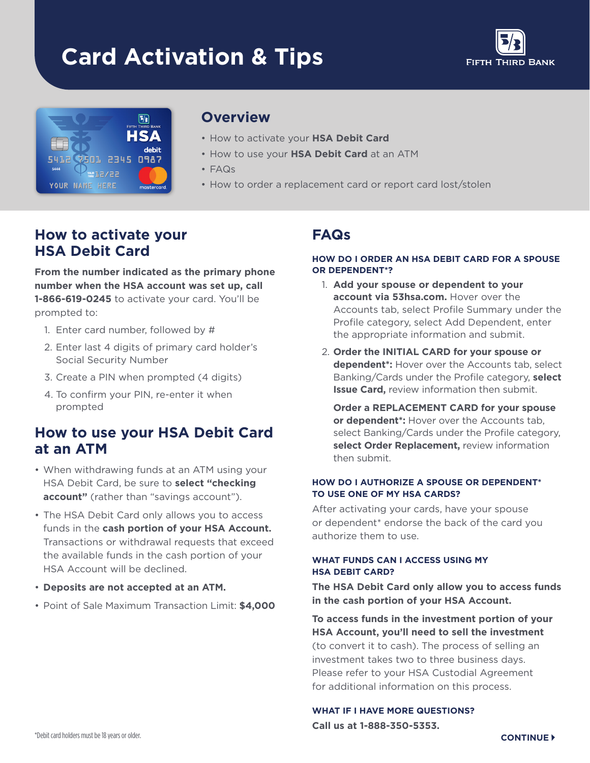# **Card Activation & Tips**





### **Overview**

- How to activate your **HSA Debit Card**
- How to use your **HSA Debit Card** at an ATM
- FAQs
- How to order a replacement card or report card lost/stolen

## **How to activate your HSA Debit Card**

**From the number indicated as the primary phone number when the HSA account was set up, call 1-866-619-0245** to activate your card. You'll be prompted to:

- 1. Enter card number, followed by #
- 2. Enter last 4 digits of primary card holder's Social Security Number
- 3. Create a PIN when prompted (4 digits)
- 4. To confrm your PIN, re-enter it when prompted

## **How to use your HSA Debit Card at an ATM**

- When withdrawing funds at an ATM using your HSA Debit Card, be sure to **select "checking account"** (rather than "savings account").
- The HSA Debit Card only allows you to access funds in the **cash portion of your HSA Account.**  Transactions or withdrawal requests that exceed the available funds in the cash portion of your HSA Account will be declined.
- **Deposits are not accepted at an ATM.**
- Point of Sale Maximum Transaction Limit: **\$4,000**

## **FAQs**

#### **HOW DO I ORDER AN HSA DEBIT CARD FOR A SPOUSE OR DEPENDENT\*?**

- 1. **Add your spouse or dependent to your account via 53hsa.com.** Hover over the Accounts tab, select Profle Summary under the Profle category, select Add Dependent, enter the appropriate information and submit.
- 2. **Order the INITIAL CARD for your spouse or dependent\*:** Hover over the Accounts tab, select Banking/Cards under the Profle category, **select Issue Card,** review information then submit.

**Order a REPLACEMENT CARD for your spouse or dependent\*:** Hover over the Accounts tab, select Banking/Cards under the Profile category, **select Order Replacement,** review information then submit.

#### **HOW DO I AUTHORIZE A SPOUSE OR DEPENDENT\* TO USE ONE OF MY HSA CARDS?**

After activating your cards, have your spouse or dependent\* endorse the back of the card you authorize them to use.

#### **WHAT FUNDS CAN I ACCESS USING MY HSA DEBIT CARD?**

**The HSA Debit Card only allow you to access funds in the cash portion of your HSA Account.** 

**To access funds in the investment portion of your HSA Account, you'll need to sell the investment** 

(to convert it to cash). The process of selling an investment takes two to three business days. Please refer to your HSA Custodial Agreement for additional information on this process.

#### **WHAT IF I HAVE MORE QUESTIONS?**

**Call us at 1-888-350-5353.**